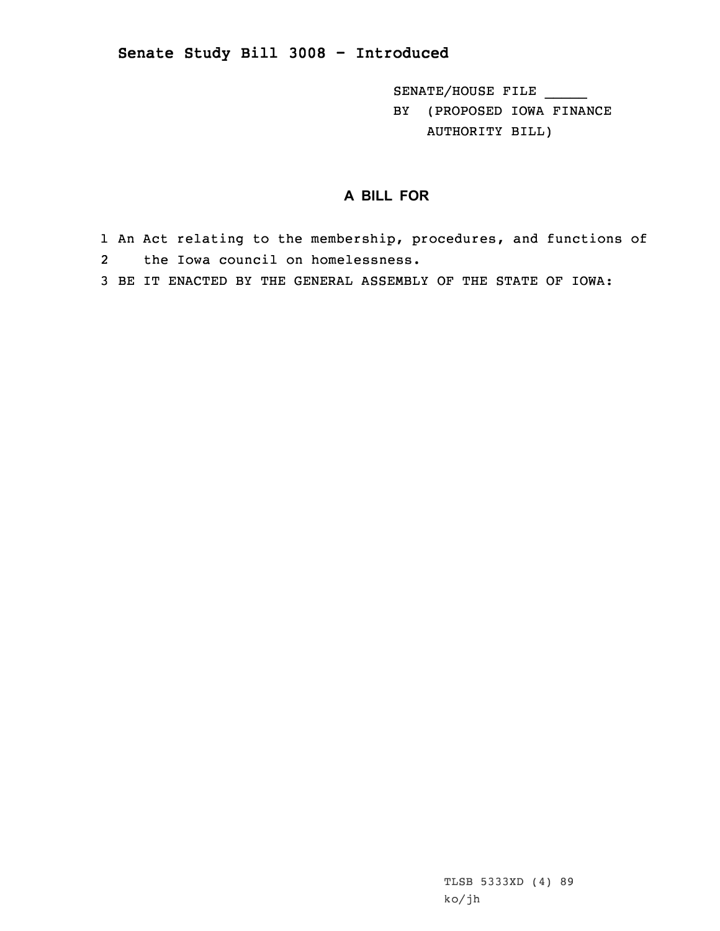## **Senate Study Bill 3008 - Introduced**

SENATE/HOUSE FILE \_\_\_\_\_ BY (PROPOSED IOWA FINANCE AUTHORITY BILL)

## **A BILL FOR**

1 An Act relating to the membership, procedures, and functions of 2 the Iowa council on homelessness.

3 BE IT ENACTED BY THE GENERAL ASSEMBLY OF THE STATE OF IOWA:

TLSB 5333XD (4) 89 ko/jh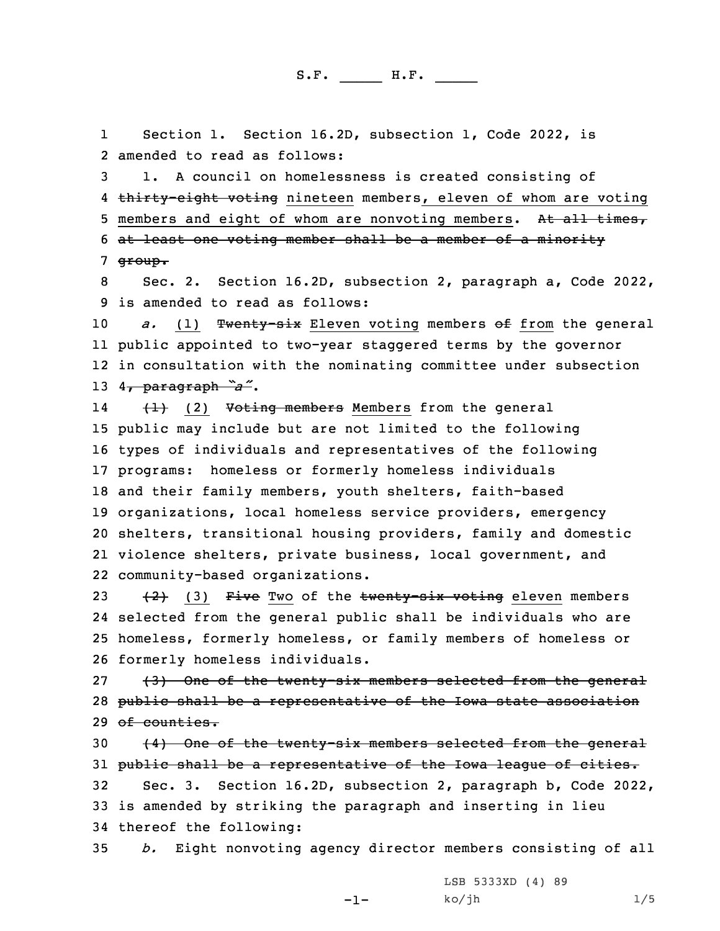1 Section 1. Section 16.2D, subsection 1, Code 2022, is 2 amended to read as follows:

3 1. <sup>A</sup> council on homelessness is created consisting of 4 thirty-eight voting nineteen members, eleven of whom are voting 5 members and eight of whom are nonvoting members. At all times, 6 at least one voting member shall be <sup>a</sup> member of <sup>a</sup> minority 7 group.

8 Sec. 2. Section 16.2D, subsection 2, paragraph a, Code 2022, 9 is amended to read as follows:

*a.* (1) Twenty-six Eleven voting members of from the general public appointed to two-year staggered terms by the governor in consultation with the nominating committee under subsection 4, paragraph *"a"*.

14 (1) (2) Voting members Members from the general public may include but are not limited to the following types of individuals and representatives of the following programs: homeless or formerly homeless individuals and their family members, youth shelters, faith-based organizations, local homeless service providers, emergency shelters, transitional housing providers, family and domestic violence shelters, private business, local government, and community-based organizations.

 $(2)$  (3) Five Two of the twenty-six voting eleven members selected from the general public shall be individuals who are homeless, formerly homeless, or family members of homeless or formerly homeless individuals.

27 (3) One of the twenty-six members selected from the general 28 public shall be a representative of the Iowa state association 29 of counties.

 (4) One of the twenty-six members selected from the general 31 public shall be a representative of the Iowa league of cities. Sec. 3. Section 16.2D, subsection 2, paragraph b, Code 2022, is amended by striking the paragraph and inserting in lieu thereof the following:

35 *b.* Eight nonvoting agency director members consisting of all

-1-

LSB 5333XD (4) 89  $k$ o/jh  $1/5$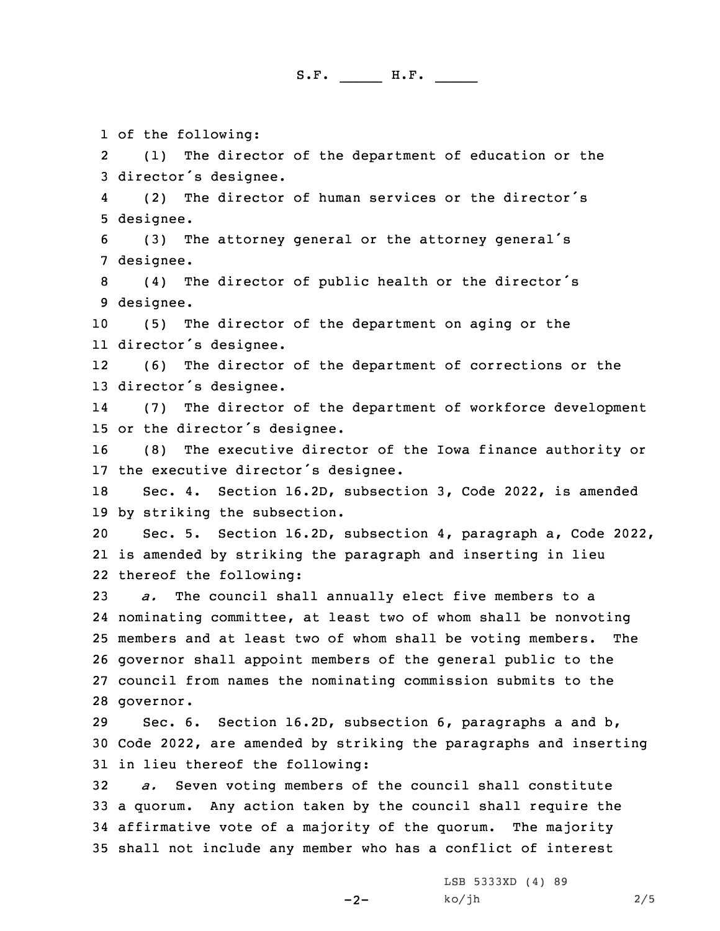1 of the following:

2 (1) The director of the department of education or the <sup>3</sup> director's designee.

4 (2) The director of human services or the director's 5 designee.

<sup>6</sup> (3) The attorney general or the attorney general's 7 designee.

<sup>8</sup> (4) The director of public health or the director's 9 designee.

10 (5) The director of the department on aging or the 11 director's designee.

12 (6) The director of the department of corrections or the <sup>13</sup> director's designee.

14 (7) The director of the department of workforce development <sup>15</sup> or the director's designee.

16 (8) The executive director of the Iowa finance authority or <sup>17</sup> the executive director's designee.

18 Sec. 4. Section 16.2D, subsection 3, Code 2022, is amended 19 by striking the subsection.

20 Sec. 5. Section 16.2D, subsection 4, paragraph a, Code 2022, 21 is amended by striking the paragraph and inserting in lieu 22 thereof the following:

 *a.* The council shall annually elect five members to <sup>a</sup> nominating committee, at least two of whom shall be nonvoting members and at least two of whom shall be voting members. The governor shall appoint members of the general public to the council from names the nominating commission submits to the governor.

29 Sec. 6. Section 16.2D, subsection 6, paragraphs <sup>a</sup> and b, 30 Code 2022, are amended by striking the paragraphs and inserting 31 in lieu thereof the following:

 *a.* Seven voting members of the council shall constitute <sup>a</sup> quorum. Any action taken by the council shall require the affirmative vote of <sup>a</sup> majority of the quorum. The majority shall not include any member who has <sup>a</sup> conflict of interest

-2-

LSB 5333XD (4) 89  $k$ o/jh 2/5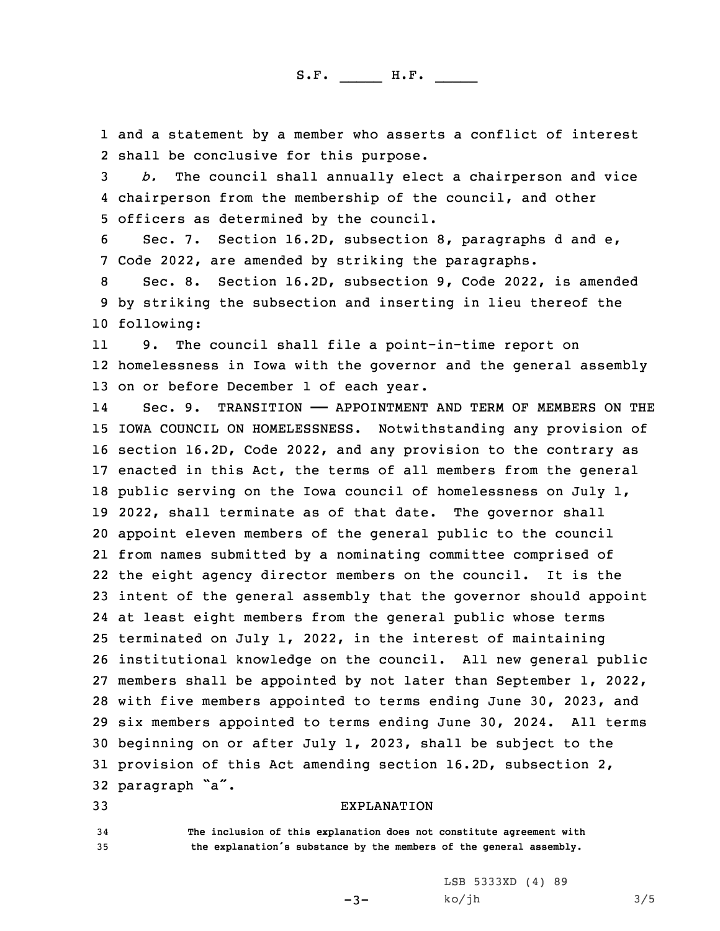1 and <sup>a</sup> statement by <sup>a</sup> member who asserts <sup>a</sup> conflict of interest 2 shall be conclusive for this purpose.

3 *b.* The council shall annually elect <sup>a</sup> chairperson and vice 4 chairperson from the membership of the council, and other 5 officers as determined by the council.

6 Sec. 7. Section 16.2D, subsection 8, paragraphs d and e, 7 Code 2022, are amended by striking the paragraphs.

8 Sec. 8. Section 16.2D, subsection 9, Code 2022, is amended 9 by striking the subsection and inserting in lieu thereof the 10 following:

11 9. The council shall file <sup>a</sup> point-in-time report on 12 homelessness in Iowa with the governor and the general assembly 13 on or before December 1 of each year.

14Sec. 9. TRANSITION - APPOINTMENT AND TERM OF MEMBERS ON THE IOWA COUNCIL ON HOMELESSNESS. Notwithstanding any provision of section 16.2D, Code 2022, and any provision to the contrary as enacted in this Act, the terms of all members from the general public serving on the Iowa council of homelessness on July 1, 2022, shall terminate as of that date. The governor shall appoint eleven members of the general public to the council from names submitted by <sup>a</sup> nominating committee comprised of the eight agency director members on the council. It is the intent of the general assembly that the governor should appoint at least eight members from the general public whose terms terminated on July 1, 2022, in the interest of maintaining institutional knowledge on the council. All new general public members shall be appointed by not later than September 1, 2022, with five members appointed to terms ending June 30, 2023, and six members appointed to terms ending June 30, 2024. All terms beginning on or after July 1, 2023, shall be subject to the provision of this Act amending section 16.2D, subsection 2, paragraph "a".

## 33 EXPLANATION

-3-

34 **The inclusion of this explanation does not constitute agreement with** <sup>35</sup> **the explanation's substance by the members of the general assembly.**

> LSB 5333XD (4) 89  $ko/jh$  3/5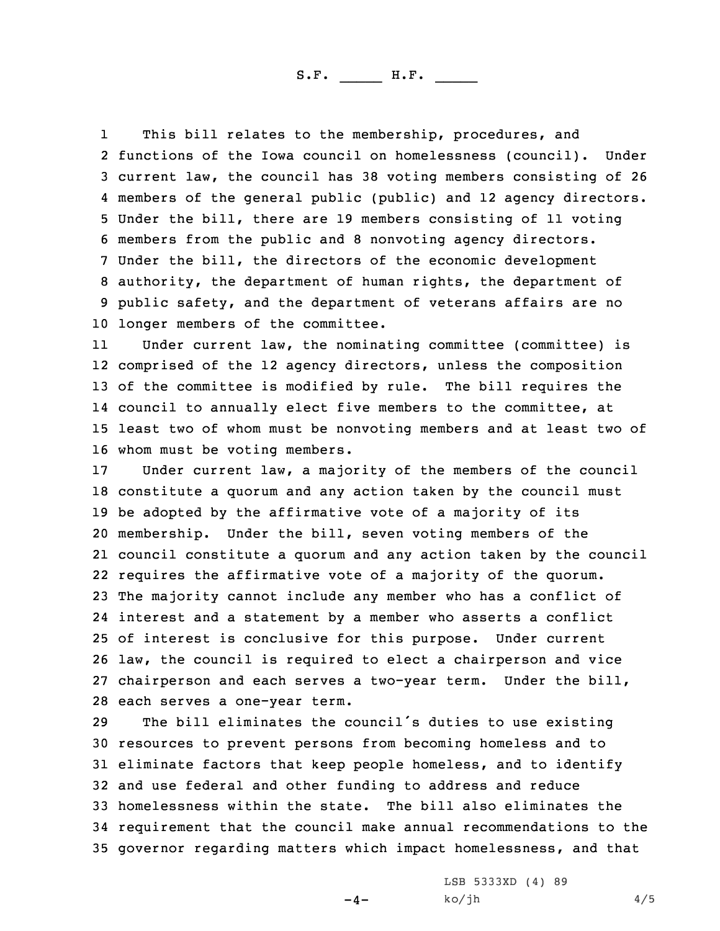1 This bill relates to the membership, procedures, and functions of the Iowa council on homelessness (council). Under current law, the council has 38 voting members consisting of 26 members of the general public (public) and 12 agency directors. Under the bill, there are 19 members consisting of 11 voting members from the public and 8 nonvoting agency directors. Under the bill, the directors of the economic development authority, the department of human rights, the department of public safety, and the department of veterans affairs are no longer members of the committee.

11 Under current law, the nominating committee (committee) is comprised of the 12 agency directors, unless the composition of the committee is modified by rule. The bill requires the council to annually elect five members to the committee, at least two of whom must be nonvoting members and at least two of whom must be voting members.

 Under current law, <sup>a</sup> majority of the members of the council constitute <sup>a</sup> quorum and any action taken by the council must be adopted by the affirmative vote of <sup>a</sup> majority of its membership. Under the bill, seven voting members of the council constitute <sup>a</sup> quorum and any action taken by the council requires the affirmative vote of <sup>a</sup> majority of the quorum. The majority cannot include any member who has <sup>a</sup> conflict of interest and <sup>a</sup> statement by <sup>a</sup> member who asserts <sup>a</sup> conflict of interest is conclusive for this purpose. Under current law, the council is required to elect <sup>a</sup> chairperson and vice chairperson and each serves <sup>a</sup> two-year term. Under the bill, each serves <sup>a</sup> one-year term.

 The bill eliminates the council's duties to use existing resources to prevent persons from becoming homeless and to eliminate factors that keep people homeless, and to identify and use federal and other funding to address and reduce homelessness within the state. The bill also eliminates the requirement that the council make annual recommendations to the governor regarding matters which impact homelessness, and that

 $-4-$ 

LSB 5333XD (4) 89  $ko/jh$  4/5